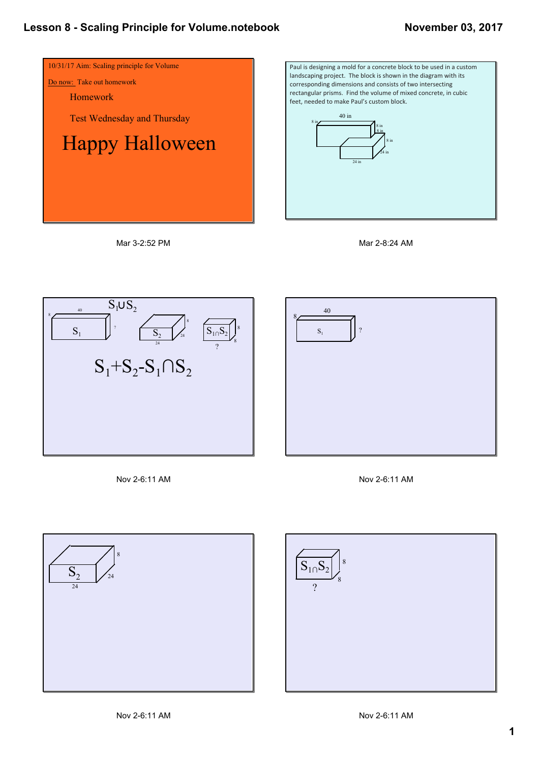









Nov 2-6:11 AM





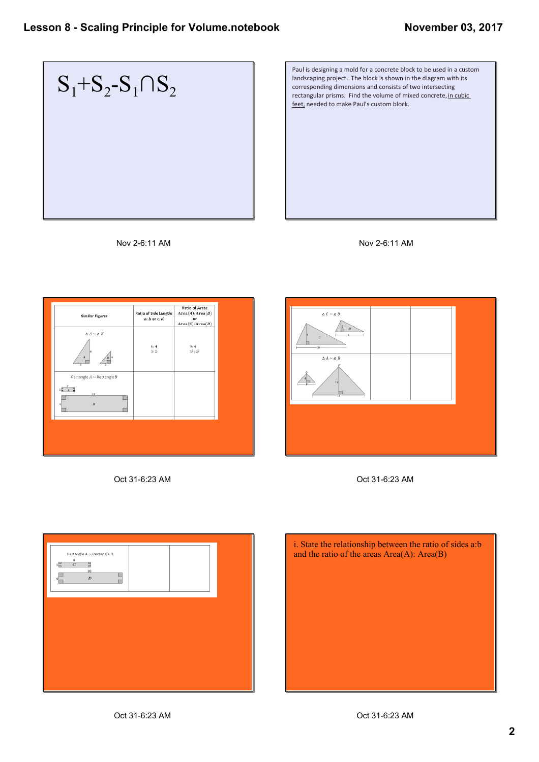

Paul is designing a mold for a concrete block to be used in a custom landscaping project. The block is shown in the diagram with its corresponding dimensions and consists of two intersecting rectangular prisms. Find the volume of mixed concrete, in cubic feet, needed to make Paul's custom block.





| $\Delta\,A\sim\Delta\,B$<br>6:4<br>9:4                                                         |
|------------------------------------------------------------------------------------------------|
| $3^2:2^2$<br>3:2<br>$\vert$ 6<br>$\boldsymbol{A}$<br>$\overline{\mathbf{3}}$                   |
| Rectangle $A \sim$ Rectangle $B$<br>$1\frac{3}{2}$<br>15<br>$\boldsymbol{B}$<br>5 <sup>1</sup> |

Oct 31-6:23 AM Oct 31-6:23 AM





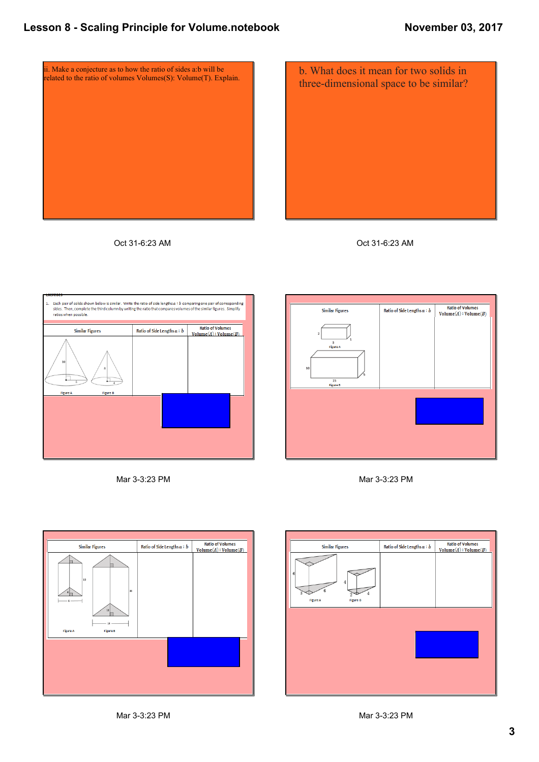

Oct 31-6:23 AM













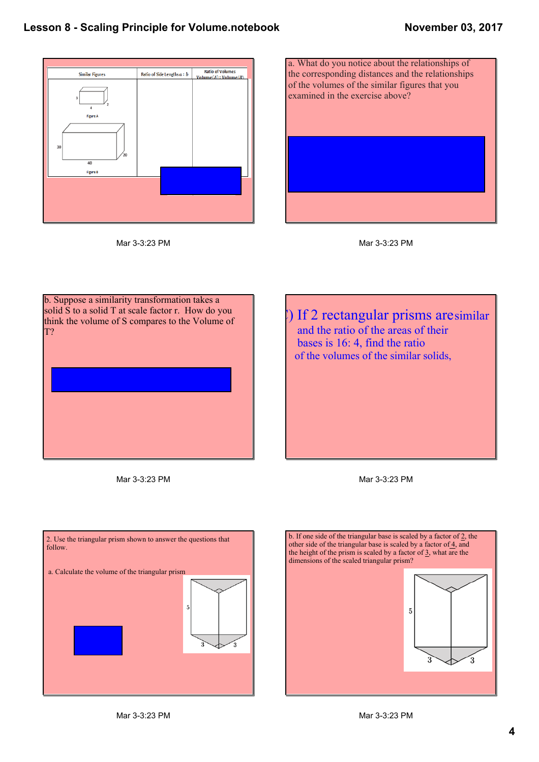





b. Suppose a similarity transformation takes a solid S to a solid T at scale factor r. How do you think the volume of S compares to the Volume of T?

) If 2 rectangular prisms aresimilar and the ratio of the areas of their bases is 16: 4, find the ratio of the volumes of the similar solids,

Mar 3-3:23 PM



b. If one side of the triangular base is scaled by a factor of 2, the other side of the triangular base is scaled by a factor of  $\frac{4}{3}$ , and the height of the prism is scaled by a factor of  $\frac{3}{2}$ , what are the dimensions of the scaled triangular prism?  $\overline{5}$  $15$  $\sim$   $\sim$   $\sim$ 

Mar 3-3:23 PM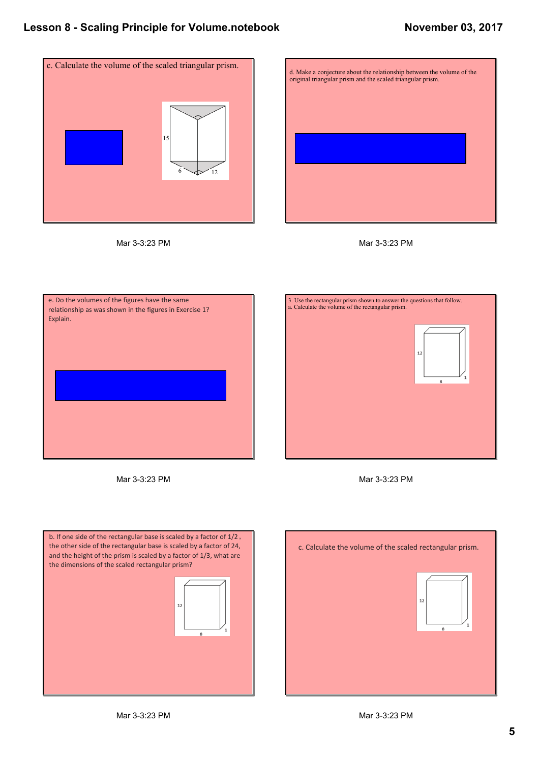

Mar 3-3:23 PM







Mar 3-3:23 PM







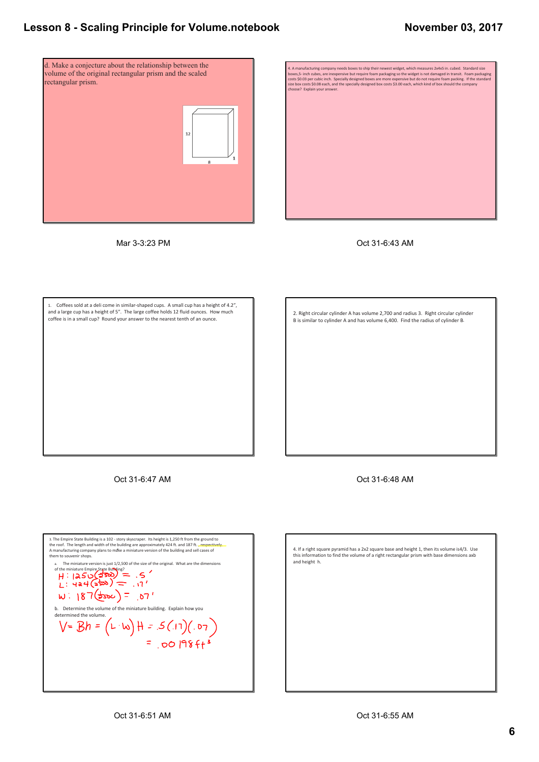## **Lesson 8 Scaling Principle for Volume.notebook**



Mar 3-3:23 PM



Oct 31-6:43 AM

1. Coffees sold at a deli come in similar‐shaped cups. A small cup has a height of 4.2", and a large cup has a height of 5". The large coffee holds 12 fluid ounces. How much coffee is in a small cup? Round your answer to the nearest tenth of an ounce.

2. Right circular cylinder A has volume 2,700 and radius 3. Right circular cylinder B is similar to cylinder A and has volume 6,400. Find the radius of cylinder B.

Oct 31-6:47 AM

Oct 31-6:48 AM

3. The Empire State Building is a 102 - story skyscraper. Its height is 1,250 ft from the ground to<br>the roof. The length and width of the building are approximately 424 ft. and 187 ft. **, respectively.**<br>A manufacturing com a. The miniature version is just  $1/2,500$  of the size of the original. What are the dimensions of the miniature Empire State Building?  $W: 187 (300) = .07$ b. Determine the volume of the miniature building. Explain how you<br>determined the volume.<br> $V = Bh = (L \cdot w) + ... = .5 (.17)(.07)$ <br>= .00 |98 f + 3 determined the volume.

4. If a right square pyramid has a 2x2 square base and height 1, then its volume is4/3. Use this information to find the volume of a right rectangular prism with base dimensions axb and height h.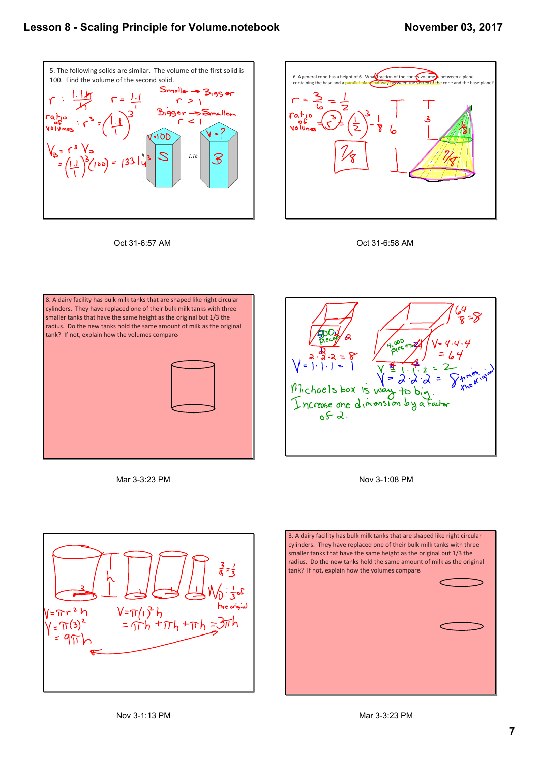## **Lesson 8 Scaling Principle for Volume.notebook**



Oct 31-6:57 AM







Mar 3-3:23 PM

**OOD** Michaels box is way  $+$ Increase and dimension by 2 کی

Nov 3-1:08 PM